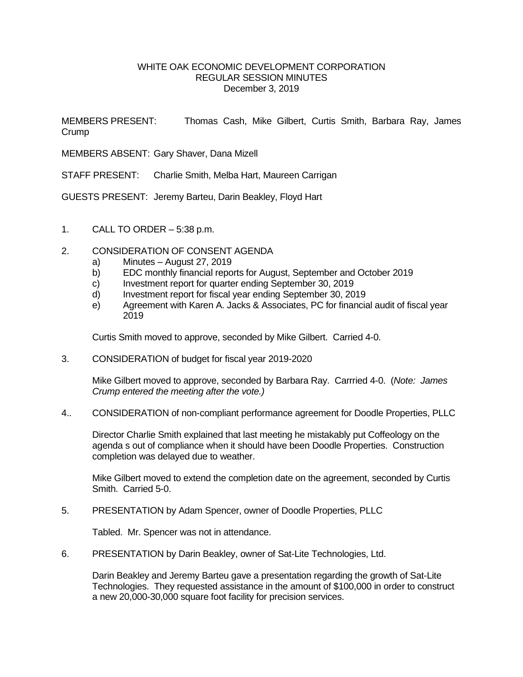## WHITE OAK ECONOMIC DEVELOPMENT CORPORATION REGULAR SESSION MINUTES December 3, 2019

MEMBERS PRESENT: Thomas Cash, Mike Gilbert, Curtis Smith, Barbara Ray, James **Crump** 

MEMBERS ABSENT: Gary Shaver, Dana Mizell

STAFF PRESENT: Charlie Smith, Melba Hart, Maureen Carrigan

GUESTS PRESENT: Jeremy Barteu, Darin Beakley, Floyd Hart

1. CALL TO ORDER – 5:38 p.m.

## 2. CONSIDERATION OF CONSENT AGENDA

- a) Minutes August 27, 2019
- b) EDC monthly financial reports for August, September and October 2019
- c) Investment report for quarter ending September 30, 2019
- d) Investment report for fiscal year ending September 30, 2019
- e) Agreement with Karen A. Jacks & Associates, PC for financial audit of fiscal year 2019

Curtis Smith moved to approve, seconded by Mike Gilbert. Carried 4-0.

3. CONSIDERATION of budget for fiscal year 2019-2020

Mike Gilbert moved to approve, seconded by Barbara Ray. Carrried 4-0. (*Note: James Crump entered the meeting after the vote.)*

4.. CONSIDERATION of non-compliant performance agreement for Doodle Properties, PLLC

Director Charlie Smith explained that last meeting he mistakably put Coffeology on the agenda s out of compliance when it should have been Doodle Properties. Construction completion was delayed due to weather.

Mike Gilbert moved to extend the completion date on the agreement, seconded by Curtis Smith. Carried 5-0.

5. PRESENTATION by Adam Spencer, owner of Doodle Properties, PLLC

Tabled. Mr. Spencer was not in attendance.

6. PRESENTATION by Darin Beakley, owner of Sat-Lite Technologies, Ltd.

Darin Beakley and Jeremy Barteu gave a presentation regarding the growth of Sat-Lite Technologies. They requested assistance in the amount of \$100,000 in order to construct a new 20,000-30,000 square foot facility for precision services.